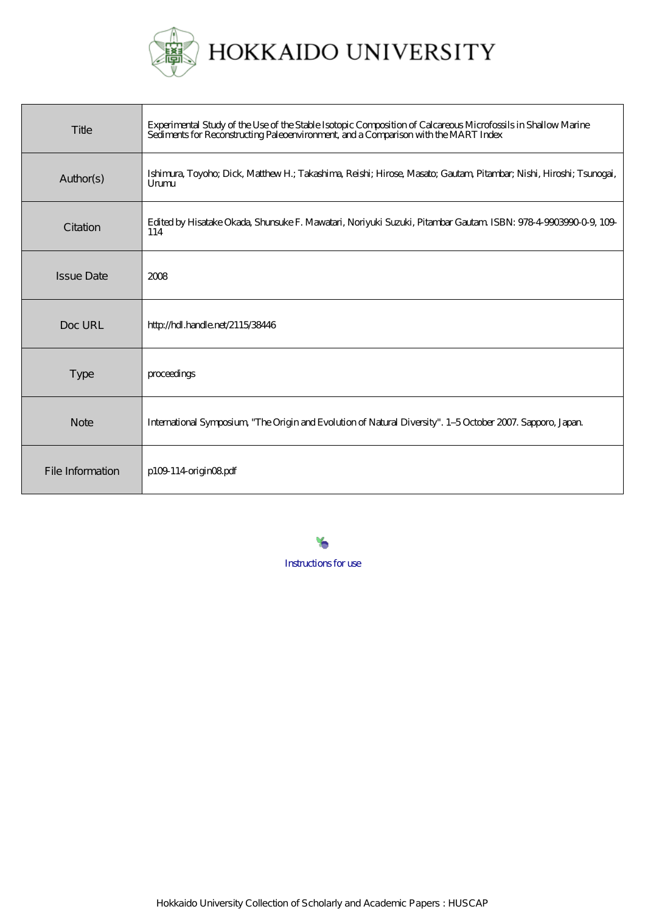

| Title             | Experimental Study of the Use of the Stable Isotopic Composition of Calcareous Microfossils in Shallow Marine<br>Sediments for Reconstructing Paleoenvironment, and a Comparison with the MART Index |
|-------------------|------------------------------------------------------------------------------------------------------------------------------------------------------------------------------------------------------|
| Author(s)         | Ishimura, Toyoho, Dick, Matthew H.; Takashima, Reishi; Hirose, Masato, Gautam, Pitambar; Nishi, Hiroshi; Tsunogai,<br>Unmu                                                                           |
| Citation          | Edited by Hisatake Okada, Shunsuke F. Mawatari, Noriyuki Suzuki, Pitambar Gautam ISBN: 978-4-9903990-0-9, 109-<br>114                                                                                |
| <b>Issue Date</b> | 2008                                                                                                                                                                                                 |
| Doc URL           | http://hdl.handle.net/2115/38446                                                                                                                                                                     |
| <b>Type</b>       | proceedings                                                                                                                                                                                          |
| <b>Note</b>       | International Symposium, "The Origin and Evolution of Natural Diversity". 1-5 October 2007. Sapporo, Japan.                                                                                          |
| File Information  | p109 114 origin08 pdf                                                                                                                                                                                |

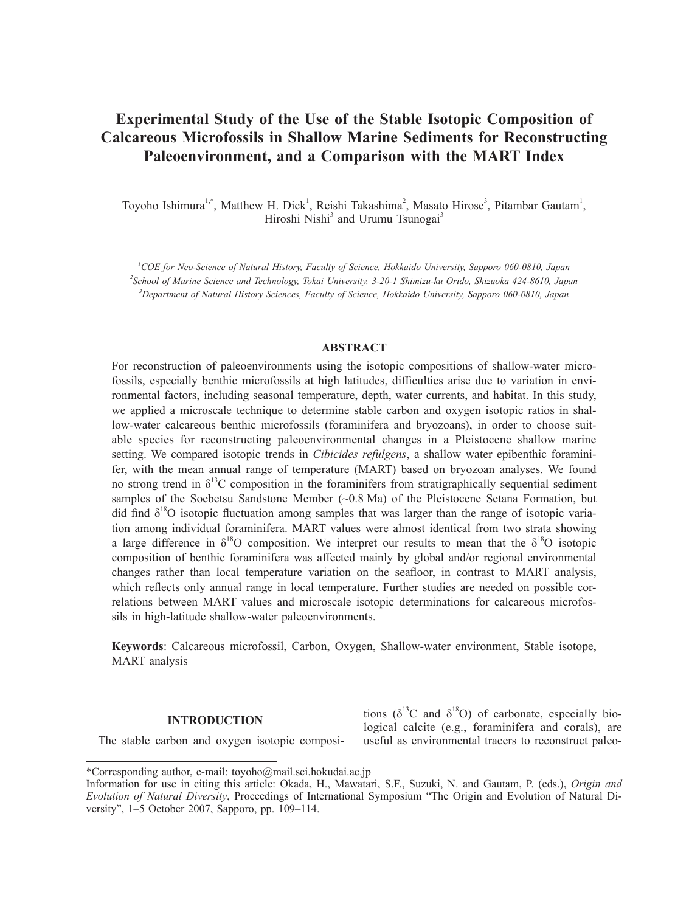# **Experimental Study of the Use of the Stable Isotopic Composition of Calcareous Microfossils in Shallow Marine Sediments for Reconstructing Paleoenvironment, and a Comparison with the MART Index**

Toyoho Ishimura<sup>1,\*</sup>, Matthew H. Dick<sup>1</sup>, Reishi Takashima<sup>2</sup>, Masato Hirose<sup>3</sup>, Pitambar Gautam<sup>1</sup>, Hiroshi Nishi<sup>3</sup> and Urumu Tsunogai<sup>3</sup>

*1 COE for Neo-Science of Natural History, Faculty of Science, Hokkaido University, Sapporo 060-0810, Japan 2 School of Marine Science and Technology, Tokai University, 3-20-1 Shimizu-ku Orido, Shizuoka 424-8610, Japan 3 Department of Natural History Sciences, Faculty of Science, Hokkaido University, Sapporo 060-0810, Japan*

## **ABSTRACT**

For reconstruction of paleoenvironments using the isotopic compositions of shallow-water microfossils, especially benthic microfossils at high latitudes, difficulties arise due to variation in environmental factors, including seasonal temperature, depth, water currents, and habitat. In this study, we applied a microscale technique to determine stable carbon and oxygen isotopic ratios in shallow-water calcareous benthic microfossils (foraminifera and bryozoans), in order to choose suitable species for reconstructing paleoenvironmental changes in a Pleistocene shallow marine setting. We compared isotopic trends in *Cibicides refulgens*, a shallow water epibenthic foraminifer, with the mean annual range of temperature (MART) based on bryozoan analyses. We found no strong trend in  $\delta^{13}$ C composition in the foraminifers from stratigraphically sequential sediment samples of the Soebetsu Sandstone Member (~0.8 Ma) of the Pleistocene Setana Formation, but did find  $\delta^{18}O$  isotopic fluctuation among samples that was larger than the range of isotopic variation among individual foraminifera. MART values were almost identical from two strata showing a large difference in  $\delta^{18}O$  composition. We interpret our results to mean that the  $\delta^{18}O$  isotopic composition of benthic foraminifera was affected mainly by global and/or regional environmental changes rather than local temperature variation on the seafloor, in contrast to MART analysis, which reflects only annual range in local temperature. Further studies are needed on possible correlations between MART values and microscale isotopic determinations for calcareous microfossils in high-latitude shallow-water paleoenvironments.

**Keywords**: Calcareous microfossil, Carbon, Oxygen, Shallow-water environment, Stable isotope, MART analysis

## **INTRODUCTION**

The stable carbon and oxygen isotopic composi-

tions ( $\delta^{13}$ C and  $\delta^{18}$ O) of carbonate, especially biological calcite (e.g., foraminifera and corals), are useful as environmental tracers to reconstruct paleo-

<sup>\*</sup>Corresponding author, e-mail: toyoho@mail.sci.hokudai.ac.jp

Information for use in citing this article: Okada, H., Mawatari, S.F., Suzuki, N. and Gautam, P. (eds.), *Origin and Evolution of Natural Diversity*, Proceedings of International Symposium "The Origin and Evolution of Natural Diversity", 1–5 October 2007, Sapporo, pp. 109–114.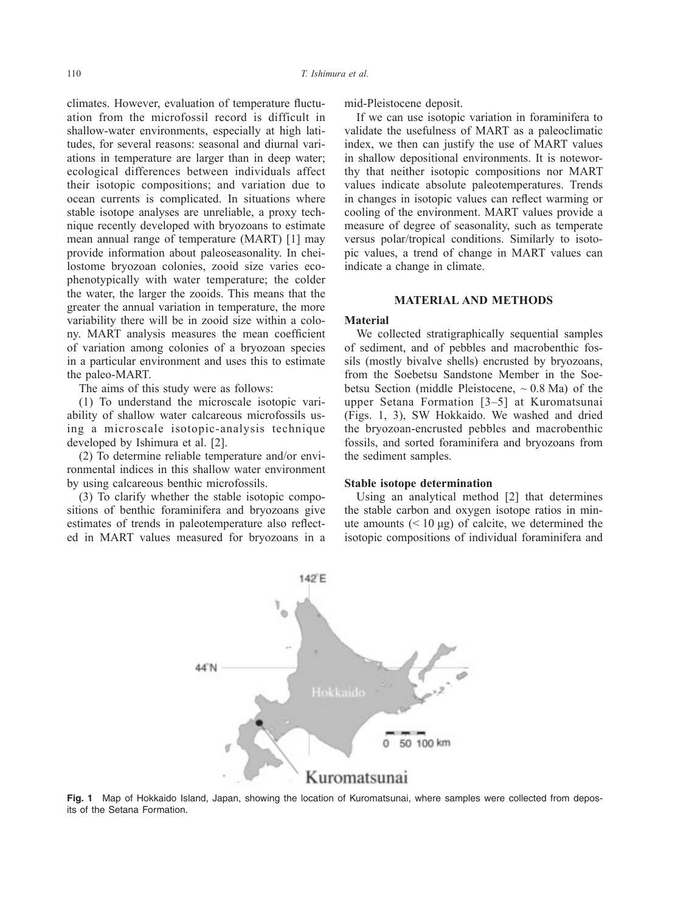climates. However, evaluation of temperature fluctuation from the microfossil record is difficult in shallow-water environments, especially at high latitudes, for several reasons: seasonal and diurnal variations in temperature are larger than in deep water; ecological differences between individuals affect their isotopic compositions; and variation due to ocean currents is complicated. In situations where stable isotope analyses are unreliable, a proxy technique recently developed with bryozoans to estimate mean annual range of temperature (MART) [1] may provide information about paleoseasonality. In cheilostome bryozoan colonies, zooid size varies ecophenotypically with water temperature; the colder the water, the larger the zooids. This means that the greater the annual variation in temperature, the more variability there will be in zooid size within a colony. MART analysis measures the mean coefficient of variation among colonies of a bryozoan species in a particular environment and uses this to estimate the paleo-MART.

The aims of this study were as follows:

(1) To understand the microscale isotopic variability of shallow water calcareous microfossils using a microscale isotopic-analysis technique developed by Ishimura et al. [2].

(2) To determine reliable temperature and/or environmental indices in this shallow water environment by using calcareous benthic microfossils.

(3) To clarify whether the stable isotopic compositions of benthic foraminifera and bryozoans give estimates of trends in paleotemperature also reflected in MART values measured for bryozoans in a mid-Pleistocene deposit.

If we can use isotopic variation in foraminifera to validate the usefulness of MART as a paleoclimatic index, we then can justify the use of MART values in shallow depositional environments. It is noteworthy that neither isotopic compositions nor MART values indicate absolute paleotemperatures. Trends in changes in isotopic values can reflect warming or cooling of the environment. MART values provide a measure of degree of seasonality, such as temperate versus polar/tropical conditions. Similarly to isotopic values, a trend of change in MART values can indicate a change in climate.

## **MATERIAL AND METHODS**

#### **Material**

We collected stratigraphically sequential samples of sediment, and of pebbles and macrobenthic fossils (mostly bivalve shells) encrusted by bryozoans, from the Soebetsu Sandstone Member in the Soebetsu Section (middle Pleistocene,  $\sim 0.8$  Ma) of the upper Setana Formation [3–5] at Kuromatsunai (Figs. 1, 3), SW Hokkaido. We washed and dried the bryozoan-encrusted pebbles and macrobenthic fossils, and sorted foraminifera and bryozoans from the sediment samples.

#### **Stable isotope determination**

Using an analytical method [2] that determines the stable carbon and oxygen isotope ratios in minute amounts  $(< 10 \mu g$ ) of calcite, we determined the isotopic compositions of individual foraminifera and



**Fig. 1** Map of Hokkaido Island, Japan, showing the location of Kuromatsunai, where samples were collected from deposits of the Setana Formation.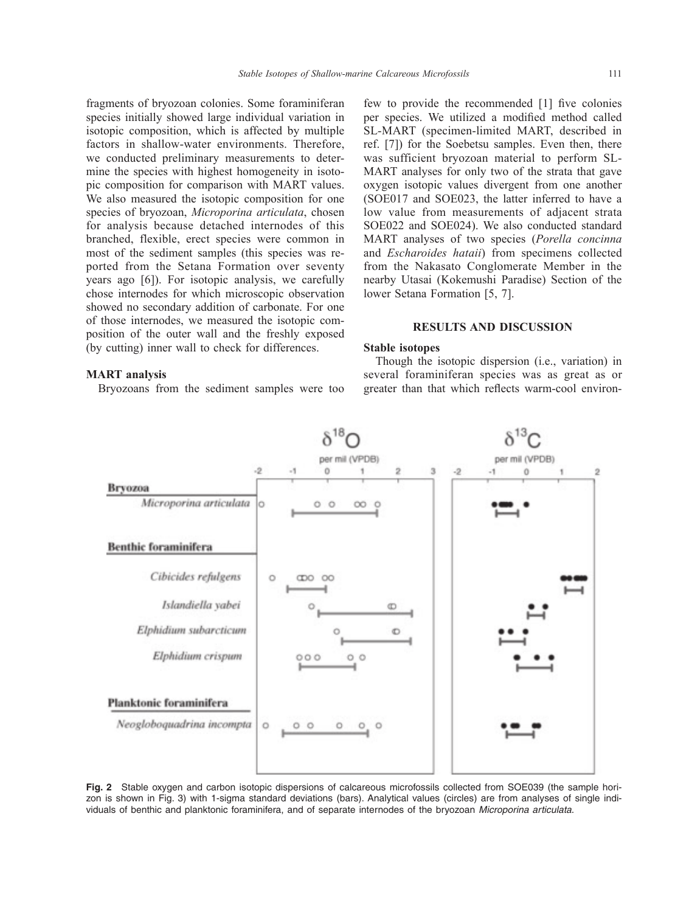fragments of bryozoan colonies. Some foraminiferan species initially showed large individual variation in isotopic composition, which is affected by multiple factors in shallow-water environments. Therefore, we conducted preliminary measurements to determine the species with highest homogeneity in isotopic composition for comparison with MART values. We also measured the isotopic composition for one species of bryozoan, *Microporina articulata*, chosen for analysis because detached internodes of this branched, flexible, erect species were common in most of the sediment samples (this species was reported from the Setana Formation over seventy years ago [6]). For isotopic analysis, we carefully chose internodes for which microscopic observation showed no secondary addition of carbonate. For one of those internodes, we measured the isotopic composition of the outer wall and the freshly exposed (by cutting) inner wall to check for differences.

# **MART analysis**

Bryozoans from the sediment samples were too

few to provide the recommended [1] five colonies per species. We utilized a modified method called SL-MART (specimen-limited MART, described in ref. [7]) for the Soebetsu samples. Even then, there was sufficient bryozoan material to perform SL-MART analyses for only two of the strata that gave oxygen isotopic values divergent from one another (SOE017 and SOE023, the latter inferred to have a low value from measurements of adjacent strata SOE022 and SOE024). We also conducted standard MART analyses of two species (*Porella concinna* and *Escharoides hataii*) from specimens collected from the Nakasato Conglomerate Member in the nearby Utasai (Kokemushi Paradise) Section of the lower Setana Formation [5, 7].

## **RESULTS AND DISCUSSION**

### **Stable isotopes**

Though the isotopic dispersion (i.e., variation) in several foraminiferan species was as great as or greater than that which reflects warm-cool environ-



**Fig. 2** Stable oxygen and carbon isotopic dispersions of calcareous microfossils collected from SOE039 (the sample horizon is shown in Fig. 3) with 1-sigma standard deviations (bars). Analytical values (circles) are from analyses of single individuals of benthic and planktonic foraminifera, and of separate internodes of the bryozoan *Microporina articulata*.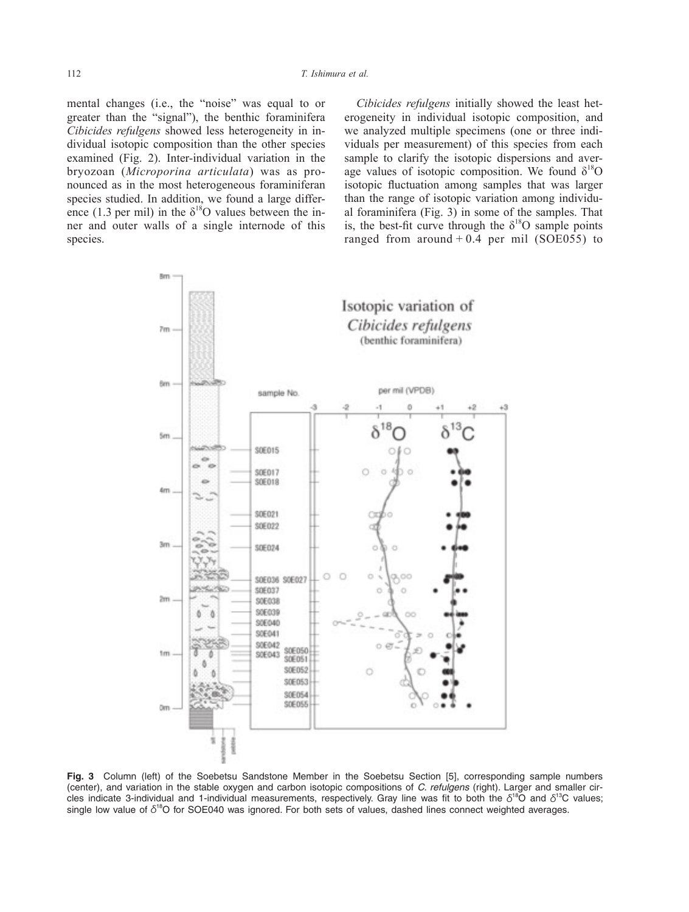mental changes (i.e., the "noise" was equal to or greater than the "signal"), the benthic foraminifera *Cibicides refulgens* showed less heterogeneity in individual isotopic composition than the other species examined (Fig. 2). Inter-individual variation in the bryozoan (*Microporina articulata*) was as pronounced as in the most heterogeneous foraminiferan species studied. In addition, we found a large difference (1.3 per mil) in the  $\delta^{18}$ O values between the inner and outer walls of a single internode of this species.

*Cibicides refulgens* initially showed the least heterogeneity in individual isotopic composition, and we analyzed multiple specimens (one or three individuals per measurement) of this species from each sample to clarify the isotopic dispersions and average values of isotopic composition. We found  $\delta^{18}O$ isotopic fluctuation among samples that was larger than the range of isotopic variation among individual foraminifera (Fig. 3) in some of the samples. That is, the best-fit curve through the  $\delta^{18}O$  sample points ranged from around  $+0.4$  per mil (SOE055) to



**Fig. 3** Column (left) of the Soebetsu Sandstone Member in the Soebetsu Section [5], corresponding sample numbers (center), and variation in the stable oxygen and carbon isotopic compositions of *C. refulgens* (right). Larger and smaller circles indicate 3-individual and 1-individual measurements, respectively. Gray line was fit to both the  $\delta^{18}$ O and  $\delta^{13}$ C values; single low value of  $\delta^{18}$ O for SOE040 was ignored. For both sets of values, dashed lines connect weighted averages.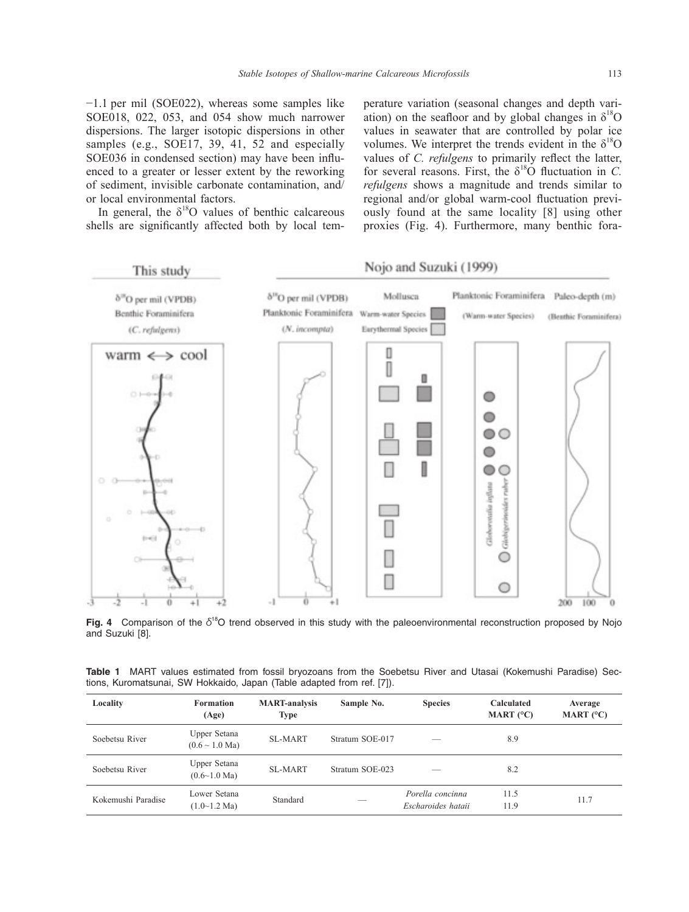−1.1 per mil (SOE022), whereas some samples like SOE018, 022, 053, and 054 show much narrower dispersions. The larger isotopic dispersions in other samples (e.g., SOE17, 39, 41, 52 and especially SOE036 in condensed section) may have been influenced to a greater or lesser extent by the reworking of sediment, invisible carbonate contamination, and/ or local environmental factors.

In general, the  $\delta^{18}O$  values of benthic calcareous shells are significantly affected both by local temperature variation (seasonal changes and depth variation) on the seafloor and by global changes in  $\delta^{18}O$ values in seawater that are controlled by polar ice volumes. We interpret the trends evident in the  $\delta^{18}O$ values of *C. refulgens* to primarily reflect the latter, for several reasons. First, the  $\delta^{18}$ O fluctuation in *C*. *refulgens* shows a magnitude and trends similar to regional and/or global warm-cool fluctuation previously found at the same locality [8] using other proxies (Fig. 4). Furthermore, many benthic fora-



**Fig. 4** Comparison of the δ<sup>18</sup>O trend observed in this study with the paleoenvironmental reconstruction proposed by Nojo and Suzuki [8].

|  |  |  |                                                                        |  |  |  | Table 1 MART values estimated from fossil bryozoans from the Soebetsu River and Utasai (Kokemushi Paradise) Sec- |  |
|--|--|--|------------------------------------------------------------------------|--|--|--|------------------------------------------------------------------------------------------------------------------|--|
|  |  |  | tions, Kuromatsunai, SW Hokkaido, Japan (Table adapted from ref. [7]). |  |  |  |                                                                                                                  |  |

| Locality           | <b>Formation</b><br>(Age)                   | <b>MART-analysis</b><br>Type | Sample No.      | <b>Species</b>                         | Calculated<br>MART $(°C)$ | Average<br>MART $(^{\circ}C)$ |  |
|--------------------|---------------------------------------------|------------------------------|-----------------|----------------------------------------|---------------------------|-------------------------------|--|
| Soebetsu River     | Upper Setana<br>$(0.6 \sim 1.0$ Ma)         | SL-MART                      | Stratum SOE-017 |                                        | 8.9                       |                               |  |
| Soebetsu River     | Upper Setana<br>$(0.6 \sim 1.0$ Ma)         | SL-MART                      | Stratum SOE-023 |                                        | 8.2                       |                               |  |
| Kokemushi Paradise | Lower Setana<br>$(1.0 \sim 1.2 \text{ Ma})$ | Standard                     | __              | Porella concinna<br>Escharoides hataii | 11.5<br>11.9              | 11.7                          |  |